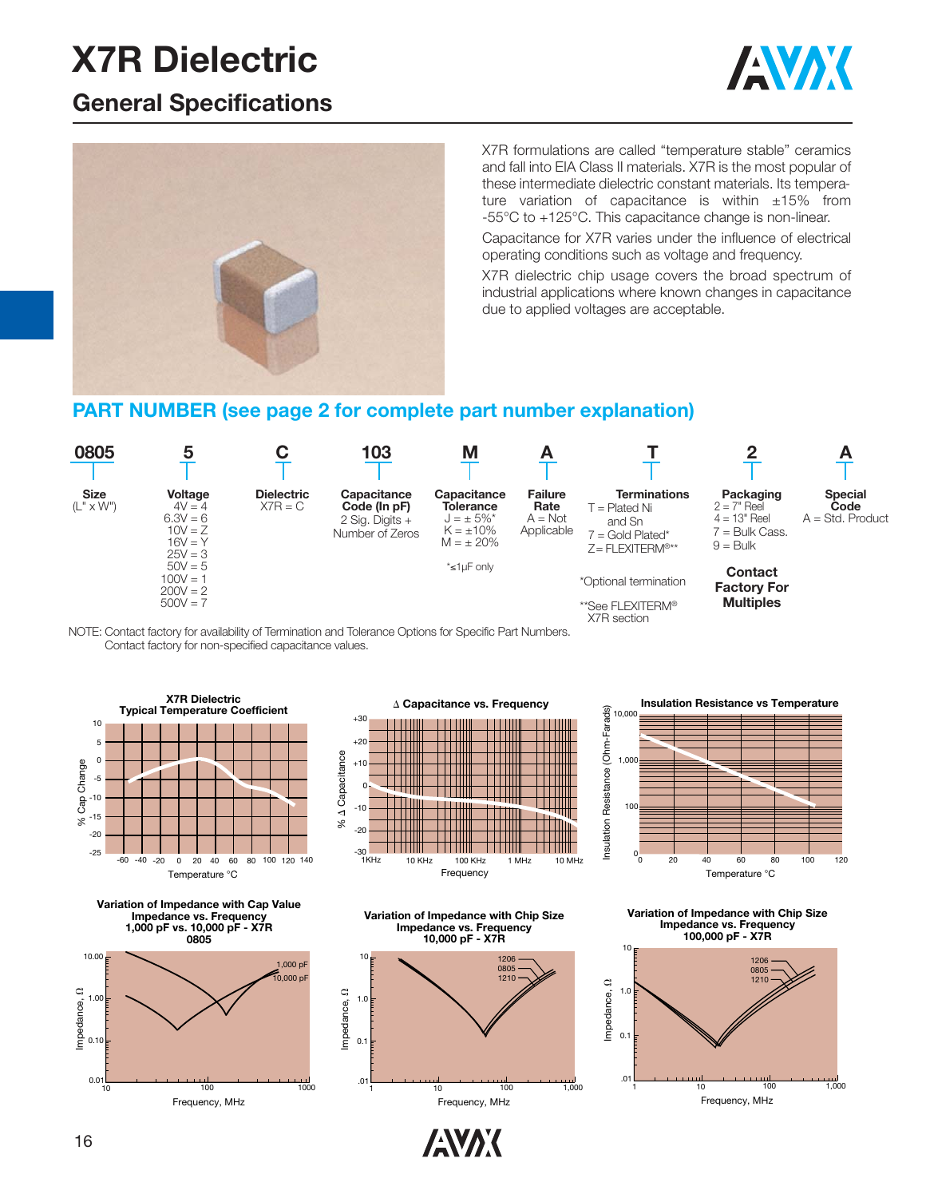### **General Specifications**





X7R formulations are called "temperature stable" ceramics and fall into EIA Class II materials. X7R is the most popular of these intermediate dielectric constant materials. Its temperature variation of capacitance is within  $\pm 15\%$  from -55°C to +125°C. This capacitance change is non-linear.

Capacitance for X7R varies under the influence of electrical operating conditions such as voltage and frequency.

X7R dielectric chip usage covers the broad spectrum of industrial applications where known changes in capacitance due to applied voltages are acceptable.

#### **PART NUMBER (see page 2 for complete part number explanation)**















10,000

**Insulation Resistance vs Temperature**



**Variation of Impedance with Chip Size Impedance vs. Frequency 100,000 pF - X7R**



Frequency, MHz

**ANAK** 

Frequency, MHz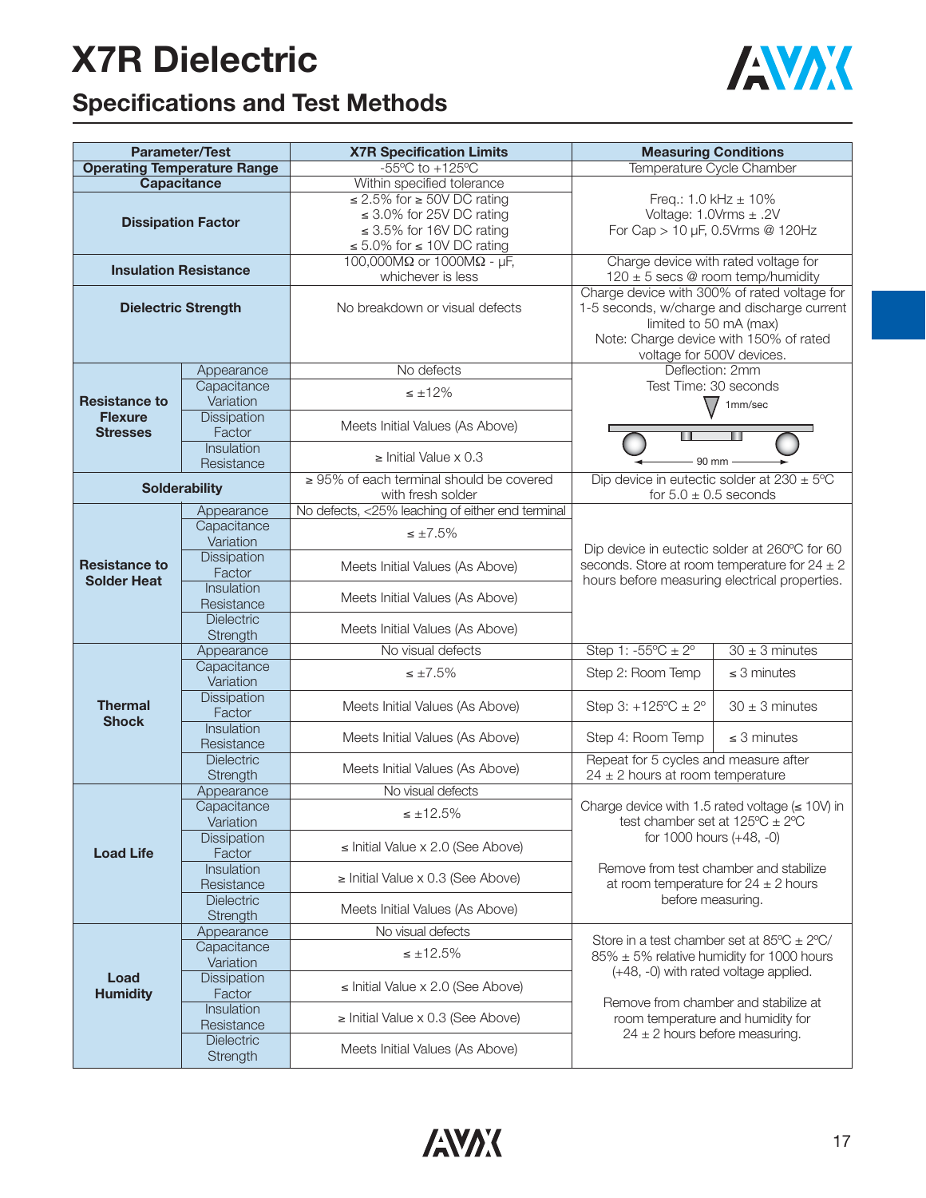

## **Specifications and Test Methods**

| <b>Parameter/Test</b>                      |                                 | <b>X7R Specification Limits</b>                                    | <b>Measuring Conditions</b>                                                                                                                                                                  |                    |  |  |  |  |  |  |  |
|--------------------------------------------|---------------------------------|--------------------------------------------------------------------|----------------------------------------------------------------------------------------------------------------------------------------------------------------------------------------------|--------------------|--|--|--|--|--|--|--|
| <b>Operating Temperature Range</b>         |                                 | $-55^{\circ}$ C to $+125^{\circ}$ C                                | Temperature Cycle Chamber                                                                                                                                                                    |                    |  |  |  |  |  |  |  |
| <b>Capacitance</b>                         |                                 | Within specified tolerance                                         |                                                                                                                                                                                              |                    |  |  |  |  |  |  |  |
|                                            |                                 | $\leq$ 2.5% for $\geq$ 50V DC rating                               | Freq.: $1.0$ kHz $\pm$ 10%                                                                                                                                                                   |                    |  |  |  |  |  |  |  |
| <b>Dissipation Factor</b>                  |                                 | $\leq$ 3.0% for 25V DC rating                                      | Voltage: $1.0Vrms \pm .2V$                                                                                                                                                                   |                    |  |  |  |  |  |  |  |
|                                            |                                 | $\leq$ 3.5% for 16V DC rating                                      | For Cap > 10 µF, 0.5Vrms @ 120Hz                                                                                                                                                             |                    |  |  |  |  |  |  |  |
|                                            |                                 | ≤ 5.0% for ≤ 10V DC rating                                         |                                                                                                                                                                                              |                    |  |  |  |  |  |  |  |
| <b>Insulation Resistance</b>               |                                 | 100,000M $\Omega$ or 1000M $\Omega$ - µF,                          | Charge device with rated voltage for                                                                                                                                                         |                    |  |  |  |  |  |  |  |
|                                            |                                 | whichever is less                                                  | $120 \pm 5$ secs @ room temp/humidity                                                                                                                                                        |                    |  |  |  |  |  |  |  |
| <b>Dielectric Strength</b>                 |                                 | No breakdown or visual defects                                     | Charge device with 300% of rated voltage for<br>1-5 seconds, w/charge and discharge current<br>limited to 50 mA (max)<br>Note: Charge device with 150% of rated<br>voltage for 500V devices. |                    |  |  |  |  |  |  |  |
|                                            | Appearance                      | No defects                                                         | Deflection: 2mm                                                                                                                                                                              |                    |  |  |  |  |  |  |  |
|                                            | Capacitance                     | $\leq \pm 12\%$                                                    | Test Time: 30 seconds                                                                                                                                                                        |                    |  |  |  |  |  |  |  |
| <b>Resistance to</b>                       | Variation                       |                                                                    | $\sqrt{}$                                                                                                                                                                                    | 1mm/sec            |  |  |  |  |  |  |  |
| <b>Flexure</b>                             | Dissipation                     |                                                                    |                                                                                                                                                                                              |                    |  |  |  |  |  |  |  |
| <b>Stresses</b>                            | Factor                          | Meets Initial Values (As Above)                                    |                                                                                                                                                                                              |                    |  |  |  |  |  |  |  |
|                                            | Insulation                      |                                                                    |                                                                                                                                                                                              |                    |  |  |  |  |  |  |  |
|                                            | Resistance                      | $\ge$ Initial Value x 0.3                                          | 90 mm                                                                                                                                                                                        |                    |  |  |  |  |  |  |  |
| <b>Solderability</b>                       |                                 | $\geq$ 95% of each terminal should be covered<br>with fresh solder | Dip device in eutectic solder at $230 \pm 5^{\circ}$ C<br>for $5.0 \pm 0.5$ seconds                                                                                                          |                    |  |  |  |  |  |  |  |
| <b>Resistance to</b><br><b>Solder Heat</b> | Appearance                      | No defects, <25% leaching of either end terminal                   |                                                                                                                                                                                              |                    |  |  |  |  |  |  |  |
|                                            | Capacitance                     | $\leq \pm 7.5\%$                                                   | Dip device in eutectic solder at 260°C for 60<br>seconds. Store at room temperature for $24 \pm 2$                                                                                           |                    |  |  |  |  |  |  |  |
|                                            | Variation                       |                                                                    |                                                                                                                                                                                              |                    |  |  |  |  |  |  |  |
|                                            | <b>Dissipation</b>              | Meets Initial Values (As Above)                                    |                                                                                                                                                                                              |                    |  |  |  |  |  |  |  |
|                                            | Factor                          |                                                                    | hours before measuring electrical properties.                                                                                                                                                |                    |  |  |  |  |  |  |  |
|                                            | Insulation                      | Meets Initial Values (As Above)                                    |                                                                                                                                                                                              |                    |  |  |  |  |  |  |  |
|                                            | Resistance<br><b>Dielectric</b> |                                                                    |                                                                                                                                                                                              |                    |  |  |  |  |  |  |  |
|                                            | Strength                        | Meets Initial Values (As Above)                                    |                                                                                                                                                                                              |                    |  |  |  |  |  |  |  |
|                                            | Appearance                      | No visual defects                                                  | Step 1: $-55^{\circ}C \pm 2^{\circ}$                                                                                                                                                         | $30 \pm 3$ minutes |  |  |  |  |  |  |  |
|                                            | Capacitance                     | $\leq \pm 7.5\%$                                                   | Step 2: Room Temp                                                                                                                                                                            | $\leq$ 3 minutes   |  |  |  |  |  |  |  |
|                                            | Variation                       |                                                                    |                                                                                                                                                                                              |                    |  |  |  |  |  |  |  |
| <b>Thermal</b>                             | <b>Dissipation</b>              | Meets Initial Values (As Above)                                    | Step 3: $+125^{\circ}C \pm 2^{\circ}$                                                                                                                                                        | $30 \pm 3$ minutes |  |  |  |  |  |  |  |
| <b>Shock</b>                               | Factor                          |                                                                    |                                                                                                                                                                                              |                    |  |  |  |  |  |  |  |
|                                            | Insulation                      | Meets Initial Values (As Above)                                    | Step 4: Room Temp                                                                                                                                                                            | $\leq$ 3 minutes   |  |  |  |  |  |  |  |
|                                            | Resistance<br><b>Dielectric</b> |                                                                    |                                                                                                                                                                                              |                    |  |  |  |  |  |  |  |
|                                            | Strength                        | Meets Initial Values (As Above)                                    | Repeat for 5 cycles and measure after<br>$24 \pm 2$ hours at room temperature                                                                                                                |                    |  |  |  |  |  |  |  |
|                                            | Appearance                      | No visual defects                                                  |                                                                                                                                                                                              |                    |  |  |  |  |  |  |  |
|                                            | Capacitance                     |                                                                    | Charge device with 1.5 rated voltage $(\leq 10V)$ in                                                                                                                                         |                    |  |  |  |  |  |  |  |
|                                            | Variation                       | $\leq \pm 12.5\%$                                                  | test chamber set at $125^{\circ}C \pm 2^{\circ}C$                                                                                                                                            |                    |  |  |  |  |  |  |  |
|                                            | <b>Dissipation</b>              |                                                                    | for 1000 hours $(+48, -0)$                                                                                                                                                                   |                    |  |  |  |  |  |  |  |
| <b>Load Life</b>                           | Factor                          | $\le$ Initial Value x 2.0 (See Above)                              |                                                                                                                                                                                              |                    |  |  |  |  |  |  |  |
|                                            | Insulation                      | $\ge$ Initial Value x 0.3 (See Above)                              | Remove from test chamber and stabilize                                                                                                                                                       |                    |  |  |  |  |  |  |  |
|                                            | Resistance                      |                                                                    | at room temperature for $24 \pm 2$ hours                                                                                                                                                     |                    |  |  |  |  |  |  |  |
|                                            | Dielectric                      | Meets Initial Values (As Above)                                    | before measuring.                                                                                                                                                                            |                    |  |  |  |  |  |  |  |
|                                            | Strength                        |                                                                    |                                                                                                                                                                                              |                    |  |  |  |  |  |  |  |
|                                            | Appearance                      | No visual defects                                                  | Store in a test chamber set at $85^{\circ}$ C $\pm$ 2°C/                                                                                                                                     |                    |  |  |  |  |  |  |  |
|                                            | Capacitance<br>Variation        | $\leq \pm 12.5\%$                                                  | $85\% \pm 5\%$ relative humidity for 1000 hours                                                                                                                                              |                    |  |  |  |  |  |  |  |
| Load                                       | Dissipation                     |                                                                    | (+48, -0) with rated voltage applied.                                                                                                                                                        |                    |  |  |  |  |  |  |  |
| <b>Humidity</b>                            | Factor                          | $\le$ Initial Value x 2.0 (See Above)                              |                                                                                                                                                                                              |                    |  |  |  |  |  |  |  |
|                                            | Insulation                      |                                                                    | Remove from chamber and stabilize at                                                                                                                                                         |                    |  |  |  |  |  |  |  |
|                                            | Resistance                      | $\ge$ Initial Value x 0.3 (See Above)                              | room temperature and humidity for                                                                                                                                                            |                    |  |  |  |  |  |  |  |
|                                            | Dielectric                      |                                                                    | $24 \pm 2$ hours before measuring.                                                                                                                                                           |                    |  |  |  |  |  |  |  |
|                                            | Strength                        | Meets Initial Values (As Above)                                    |                                                                                                                                                                                              |                    |  |  |  |  |  |  |  |

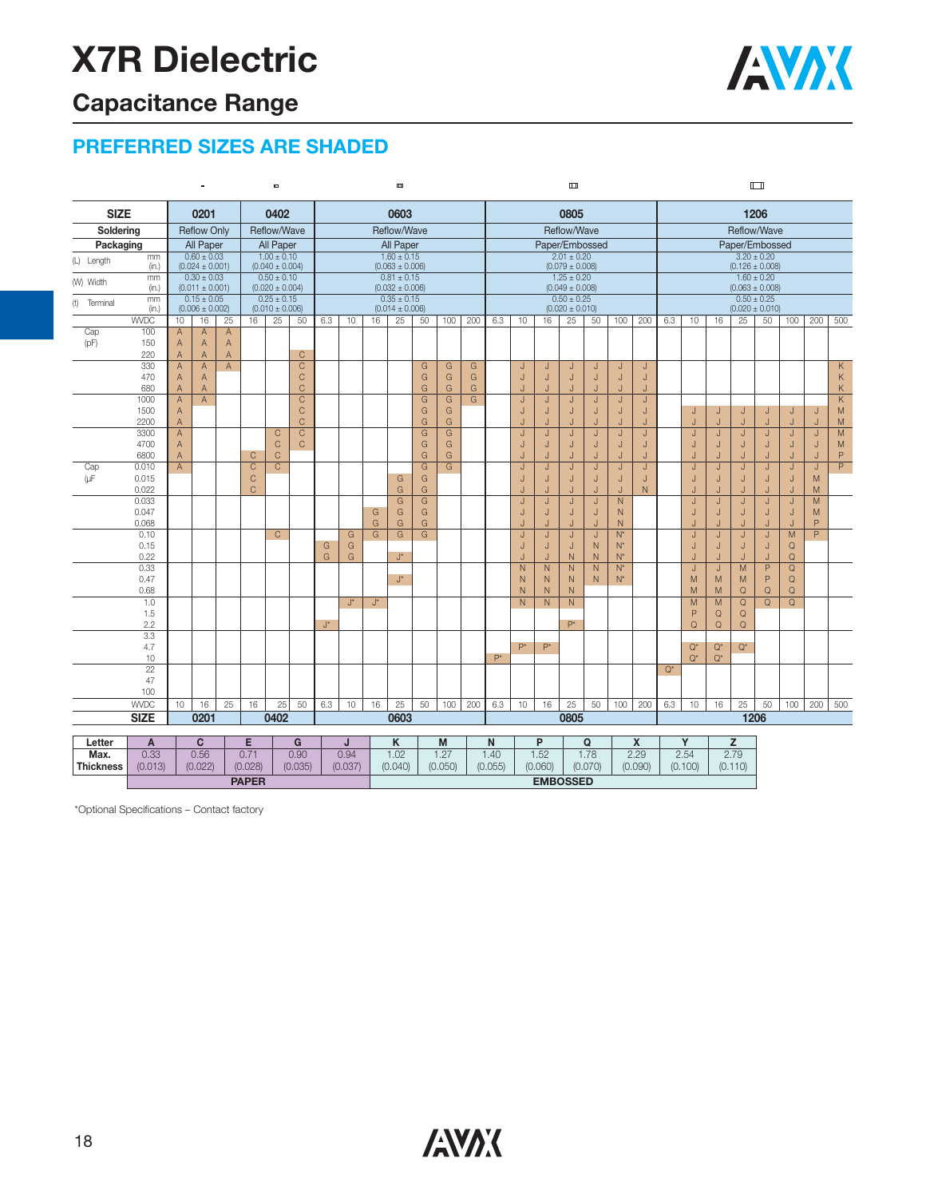## **Capacitance Range**

#### **PREFERRED SIZES ARE SHADED**

|                                 |                        |                               |                                        |                |                         | $\qquad \qquad \blacksquare$           |                               | Ē               |                    |                                        |                              |                |                |        | Ш                                      |                                        |                                |                     |                  |                     |                | $\Box$                                 |                                        |             |                                        |                                                |                               |                |                         |  |
|---------------------------------|------------------------|-------------------------------|----------------------------------------|----------------|-------------------------|----------------------------------------|-------------------------------|-----------------|--------------------|----------------------------------------|------------------------------|----------------|----------------|--------|----------------------------------------|----------------------------------------|--------------------------------|---------------------|------------------|---------------------|----------------|----------------------------------------|----------------------------------------|-------------|----------------------------------------|------------------------------------------------|-------------------------------|----------------|-------------------------|--|
|                                 | <b>SIZE</b><br>0201    |                               |                                        |                |                         | 0402                                   |                               | 0603            |                    |                                        |                              |                |                |        |                                        | 0805                                   |                                |                     |                  |                     |                |                                        | 1206                                   |             |                                        |                                                |                               |                |                         |  |
| Soldering<br><b>Reflow Only</b> |                        |                               |                                        |                |                         | Reflow/Wave                            |                               |                 |                    |                                        | Reflow/Wave                  |                |                |        |                                        | Reflow/Wave                            |                                |                     |                  |                     |                |                                        | Reflow/Wave                            |             |                                        |                                                |                               |                |                         |  |
|                                 | All Paper<br>Packaging |                               |                                        |                |                         | All Paper                              |                               |                 |                    |                                        | All Paper                    |                |                |        |                                        |                                        |                                | Paper/Embossed      |                  |                     |                |                                        |                                        |             |                                        | Paper/Embossed                                 |                               |                |                         |  |
| (L) Length                      | mm                     |                               | $0.60 \pm 0.03$                        |                |                         | $1.00 \pm 0.10$                        |                               | $1.60 \pm 0.15$ |                    |                                        |                              |                |                |        | $2.01 \pm 0.20$                        |                                        |                                |                     |                  |                     |                | $3.20 \pm 0.20$                        |                                        |             |                                        |                                                |                               |                |                         |  |
|                                 | (in.)<br>mm            |                               | $(0.024 \pm 0.001)$<br>$0.30 \pm 0.03$ |                |                         | $(0.040 \pm 0.004)$<br>$0.50 \pm 0.10$ |                               |                 |                    | $(0.063 \pm 0.006)$<br>$0.81 \pm 0.15$ |                              |                |                |        |                                        | $(0.079 \pm 0.008)$<br>$1.25 \pm 0.20$ |                                |                     |                  |                     |                |                                        | $(0.126 \pm 0.008)$<br>$1.60 \pm 0.20$ |             |                                        |                                                |                               |                |                         |  |
| (W) Width                       | (in.)                  |                               | $(0.011 \pm 0.001)$                    |                |                         | $(0.020 \pm 0.004)$                    |                               |                 |                    |                                        | $(0.032 \pm 0.006)$          |                |                |        | $(0.049 \pm 0.008)$                    |                                        |                                |                     |                  |                     |                | $(0.063 \pm 0.008)$<br>$0.50 \pm 0.25$ |                                        |             |                                        |                                                |                               |                |                         |  |
| (t)<br>Terminal                 | mm                     |                               | $0.15 \pm 0.05$                        |                |                         | $0.25 \pm 0.15$                        |                               |                 |                    | $0.35 \pm 0.15$<br>$(0.014 \pm 0.006)$ |                              |                |                |        | $0.50 \pm 0.25$<br>$(0.020 \pm 0.010)$ |                                        |                                |                     |                  |                     |                |                                        |                                        |             |                                        |                                                |                               |                |                         |  |
|                                 | (in.)<br><b>WVDC</b>   | 10 <sup>1</sup>               | $(0.006 \pm 0.002)$<br>16              | 25             | 16                      | $(0.010 \pm 0.006)$<br>25              | 50                            | 6.3             | 10                 |                                        | 25<br>50<br>100<br>200<br>16 |                |                |        |                                        | 10                                     | 16                             | 25                  | 50               | 100                 | 200            | 6.3                                    | 10                                     | 16          | 25                                     | $(0.020 \pm 0.010)$<br>200<br>500<br>50<br>100 |                               |                |                         |  |
| Cap                             | 100                    | $\overline{A}$                | $\overline{A}$                         | $\mathsf A$    |                         |                                        |                               |                 |                    |                                        |                              |                |                |        | 6.3                                    |                                        |                                |                     |                  |                     |                |                                        |                                        |             |                                        |                                                |                               |                |                         |  |
| (pF)                            | 150                    | $\overline{A}$                | A                                      | $\mathsf A$    |                         |                                        |                               |                 |                    |                                        |                              |                |                |        |                                        |                                        |                                |                     |                  |                     |                |                                        |                                        |             |                                        |                                                |                               |                |                         |  |
|                                 | 220                    | $\overline{A}$                | $\overline{A}$                         | $\overline{A}$ |                         |                                        | $\mathsf{C}$                  |                 |                    |                                        |                              |                |                |        |                                        |                                        |                                |                     |                  |                     |                |                                        |                                        |             |                                        |                                                |                               |                |                         |  |
|                                 | 330                    | $\overline{A}$                | A                                      | $\overline{A}$ |                         |                                        | $\mathsf C$                   |                 |                    |                                        |                              | G              | G              | G      |                                        | IJ                                     | J                              | J                   | J                | J                   | J              |                                        |                                        |             |                                        |                                                |                               |                | Κ                       |  |
|                                 | 470<br>680             | $\mathsf A$<br>$\overline{A}$ | A<br>$\overline{A}$                    |                |                         |                                        | $\mathsf C$<br>$\overline{C}$ |                 |                    |                                        |                              | G<br>G         | G<br>G         | G<br>G |                                        | $\sf J$<br>J                           | J                              | J<br>$\cdot$        | J<br>J           | J<br>$\cdot$        | J<br>$\cdot$   |                                        |                                        |             |                                        |                                                |                               |                | Κ<br>K                  |  |
|                                 | 1000                   | $\overline{A}$                | A                                      |                |                         |                                        | $\overline{C}$                |                 |                    |                                        |                              | G              | $\overline{G}$ | G      |                                        | IJ                                     | J                              | J                   | J                | J                   | J              |                                        |                                        |             |                                        |                                                |                               |                | $\overline{\mathsf{K}}$ |  |
|                                 | 1500                   | A                             |                                        |                |                         |                                        | $\mathsf C$                   |                 |                    |                                        |                              | G              | G              |        |                                        | $\sf J$                                | IJ                             | J                   | J                | J                   | $\sf J$        |                                        | J                                      | J           | J                                      | J                                              | J                             | J              | M                       |  |
|                                 | 2200                   | $\mathsf{A}$                  |                                        |                |                         |                                        | $\mathsf C$                   |                 |                    |                                        |                              | G              | $\mathsf{G}$   |        |                                        |                                        |                                | $\cdot$             | J                |                     | J              |                                        |                                        | J           | J                                      | J                                              | J                             |                | M                       |  |
|                                 | 3300                   | $\overline{A}$                |                                        |                |                         | C                                      | $\overline{C}$                |                 |                    |                                        |                              | G              | G              |        |                                        | J                                      | $\cdot$                        | J                   | J                | J                   | $\overline{1}$ |                                        | $\cdot$                                | J           | J                                      | J                                              | J                             | IJ             | M                       |  |
|                                 | 4700<br>6800           | $\mathsf A$<br>A              |                                        |                | $\mathsf{C}$            | $\mathsf{C}$<br>C                      | $\mathsf C$                   |                 |                    |                                        |                              | G<br>G         | G<br>G         |        |                                        | $\sf J$<br>IJ                          | IJ<br>$\cdot$                  | J<br>J              | $\mathsf J$<br>J | J<br>J              | J<br>J         |                                        | J<br>$\cdot$                           | J<br>J      | J<br>J                                 | J<br>J                                         | J<br>J                        | J<br>J         | M<br>P                  |  |
| Cap                             | 0.010                  | $\overline{A}$                |                                        |                | $\overline{\mathrm{c}}$ | $\overline{\text{c}}$                  |                               |                 |                    |                                        |                              | $\overline{G}$ | $\overline{G}$ |        |                                        | IJ                                     | J                              | J                   | $\sf J$          | J                   | $\overline{J}$ |                                        | J                                      | J           | J                                      | J                                              | $\sf J$                       | IJ             | $\overline{P}$          |  |
| $(\mu$ F                        | 0.015                  |                               |                                        |                | $\mathsf{C}$            |                                        |                               |                 |                    |                                        | G                            | G              |                |        |                                        | J                                      | J                              | $\cdot$             | J                | J                   | J              |                                        | $\cdot$                                | J           | J                                      | J                                              | J                             | M              |                         |  |
|                                 | 0.022                  |                               |                                        |                | $\mathsf C$             |                                        |                               |                 |                    |                                        | G                            | G              |                |        |                                        | J                                      |                                | J                   | J                | J                   | $\mathsf{N}$   |                                        | J                                      | J           | J                                      | J                                              | J                             | M              |                         |  |
|                                 | 0.033                  |                               |                                        |                |                         |                                        |                               |                 |                    |                                        | G                            | G              |                |        |                                        | IJ                                     | J                              | J                   | $\sf J$          | N                   |                |                                        | J                                      | $\cdot$     | J                                      | J                                              | J                             | M              |                         |  |
|                                 | 0.047<br>0.068         |                               |                                        |                |                         |                                        |                               |                 |                    | G<br>G                                 | G<br>G                       | G<br>G         |                |        |                                        | IJ<br>IJ                               | J                              | $\cdot$             | J<br>$\sf J$     | N<br>$\overline{N}$ |                |                                        | $\cdot$<br>$\cdot$                     | J<br>J      | J<br>J                                 | J                                              | J<br>J                        | M<br>P         |                         |  |
|                                 | 0.10                   |                               |                                        |                |                         | $\mathsf{C}$                           |                               |                 | G                  | $\overline{\mathsf{G}}$                | G                            | G              |                |        |                                        | J                                      | J                              | J<br>J              | $\sf J$          | $N^*$               |                |                                        | J                                      | J           | J                                      | J<br>J                                         | $\overline{M}$                | $\overline{P}$ |                         |  |
|                                 | 0.15                   |                               |                                        |                |                         |                                        |                               | G               | G                  |                                        |                              |                |                |        |                                        | J                                      | J                              | J                   | $\mathsf{N}$     | $N^*$               |                |                                        | J                                      | J           | J                                      | J                                              | $\mathsf Q$                   |                |                         |  |
|                                 | 0.22                   |                               |                                        |                |                         |                                        |                               | G               | G                  |                                        | $J^*$                        |                |                |        |                                        | IJ                                     | IJ                             | $\mathsf{N}$        | $\mathsf{N}$     | $N^*$               |                |                                        |                                        | J           | J                                      | J                                              | $\mathsf Q$                   |                |                         |  |
|                                 | 0.33                   |                               |                                        |                |                         |                                        |                               |                 |                    |                                        |                              |                |                |        |                                        | $\overline{N}$                         | N                              | $\overline{N}$      | $\overline{N}$   | $N^*$               |                |                                        | J                                      | J           | $\overline{M}$                         | P                                              | $\overline{Q}$                |                |                         |  |
|                                 | 0.47                   |                               |                                        |                |                         |                                        |                               |                 |                    |                                        | $J^*$                        |                |                |        |                                        | N                                      | N                              | N.                  | N                | $N^*$               |                |                                        | M                                      | M           | M                                      | P                                              | $\Omega$                      |                |                         |  |
|                                 | 0.68<br>1.0            |                               |                                        |                |                         |                                        |                               |                 | $\mathsf{J}^\star$ | $\mathsf{J}^\star$                     |                              |                |                |        |                                        | $\mathsf{N}$<br>$\overline{N}$         | $\mathsf{N}$<br>$\overline{N}$ | N<br>$\overline{N}$ |                  |                     |                |                                        | M<br>M                                 | M<br>M      | $\mathsf Q$<br>$\overline{\mathsf{Q}}$ | $\mathsf Q$<br>$\overline{Q}$                  | $\mathsf Q$<br>$\overline{Q}$ |                |                         |  |
|                                 | 1.5                    |                               |                                        |                |                         |                                        |                               |                 |                    |                                        |                              |                |                |        |                                        |                                        |                                |                     |                  |                     |                |                                        | P                                      | $\mathsf Q$ | $\mathsf Q$                            |                                                |                               |                |                         |  |
|                                 | 2.2                    |                               |                                        |                |                         |                                        |                               | $J^{\star}$     |                    |                                        |                              |                |                |        |                                        |                                        |                                | $P^*$               |                  |                     |                |                                        | $\mathsf Q$                            | $\mathsf Q$ | $\mathsf Q$                            |                                                |                               |                |                         |  |
|                                 | 3.3                    |                               |                                        |                |                         |                                        |                               |                 |                    |                                        |                              |                |                |        |                                        |                                        |                                |                     |                  |                     |                |                                        |                                        |             |                                        |                                                |                               |                |                         |  |
|                                 | 4.7                    |                               |                                        |                |                         |                                        |                               |                 |                    |                                        |                              |                |                |        |                                        | $P^*$                                  | $P^*$                          |                     |                  |                     |                |                                        | $Q^*$                                  | $Q^*$       | $Q^*$                                  |                                                |                               |                |                         |  |
|                                 | 10<br>$\overline{22}$  |                               |                                        |                |                         |                                        |                               |                 |                    |                                        |                              |                |                |        | $P^*$                                  |                                        |                                |                     |                  |                     |                | $Q^*$                                  | $Q^*$                                  | $Q^*$       |                                        |                                                |                               |                |                         |  |
|                                 | 47                     |                               |                                        |                |                         |                                        |                               |                 |                    |                                        |                              |                |                |        |                                        |                                        |                                |                     |                  |                     |                |                                        |                                        |             |                                        |                                                |                               |                |                         |  |
|                                 | 100                    |                               |                                        |                |                         |                                        |                               |                 |                    |                                        |                              |                |                |        |                                        |                                        |                                |                     |                  |                     |                |                                        |                                        |             |                                        |                                                |                               |                |                         |  |
|                                 | <b>WVDC</b>            | 10 <sup>1</sup>               | 16                                     | 25             | 16                      | 25                                     | 50                            | 6.3             | 10                 | 16                                     | 25                           | 50             | 100            | 200    | 6.3                                    | 10                                     | 16                             | 25                  | 50               | 100                 | 200            | 6.3                                    | 10                                     | 16          | 25                                     | 50                                             | 100                           | 200            | 500                     |  |
|                                 | <b>SIZE</b>            |                               | 0201                                   |                |                         | 0402                                   |                               |                 |                    |                                        | 0603                         |                |                |        | 0805                                   |                                        |                                |                     |                  |                     |                |                                        |                                        |             |                                        | 1206                                           |                               |                |                         |  |
|                                 |                        |                               |                                        |                |                         |                                        |                               |                 |                    |                                        |                              |                |                |        |                                        |                                        |                                |                     |                  |                     |                |                                        |                                        |             |                                        |                                                |                               |                |                         |  |
| Letter                          | Α                      |                               | C                                      |                | E                       |                                        | G                             |                 | J                  |                                        | Κ                            |                | M              |        | $\mathsf{N}$                           |                                        | P                              |                     | Q                |                     | $\mathsf{x}$   |                                        | Y                                      |             | z                                      |                                                |                               |                |                         |  |
| Max.                            | 0.33                   |                               | 0.56                                   |                | 0.71<br>(0.028)         |                                        | 0.90                          |                 | 0.94               |                                        | 1.02                         |                | 1.27           |        | 1.40                                   |                                        | 1.52                           |                     | 1.78             |                     | 2.29           | 2.54<br>2.79                           |                                        |             |                                        |                                                |                               |                |                         |  |
| <b>Thickness</b>                | (0.013)                |                               | (0.022)                                |                |                         |                                        | (0.035)                       |                 | (0.037)            |                                        | (0.040)                      |                | (0.050)        |        | (0.055)                                |                                        | (0.060)                        |                     | (0.070)          |                     | (0.090)        |                                        | (0.100)                                |             | (0.110)                                |                                                |                               |                |                         |  |
|                                 |                        |                               |                                        |                | <b>PAPER</b>            |                                        |                               |                 |                    |                                        |                              |                |                |        |                                        | <b>EMBOSSED</b>                        |                                |                     |                  |                     |                |                                        |                                        |             |                                        |                                                |                               |                |                         |  |

\*Optional Specifications – Contact factory